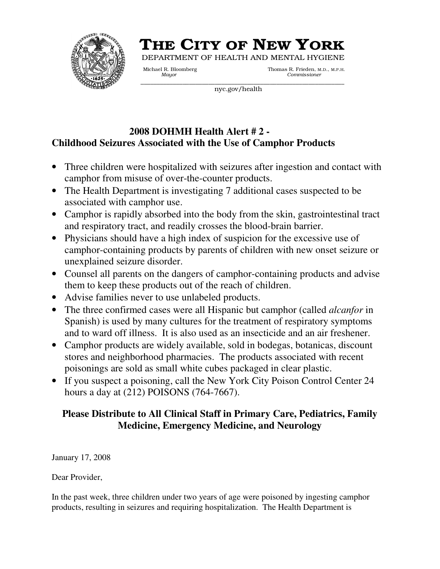

# THE CITY OF NEW YORK

DEPARTMENT OF HEALTH AND MENTAL HYGIENE

\_\_\_\_\_\_\_\_\_\_\_\_\_\_\_\_\_\_\_\_\_\_\_\_\_\_\_\_\_\_\_\_\_\_\_\_\_\_\_\_\_\_\_\_\_\_\_\_\_\_\_\_\_\_\_\_\_\_\_\_\_\_\_

Michael R. Bloomberg Thomas R. Frieden, M.D., M.P.H.<br>Mayor Commissioner *Mayor Commissioner*

nyc.gov/health

## **2008 DOHMH Health Alert # 2 - Childhood Seizures Associated with the Use of Camphor Products**

- Three children were hospitalized with seizures after ingestion and contact with camphor from misuse of over-the-counter products.
- The Health Department is investigating 7 additional cases suspected to be associated with camphor use.
- Camphor is rapidly absorbed into the body from the skin, gastrointestinal tract and respiratory tract, and readily crosses the blood-brain barrier.
- Physicians should have a high index of suspicion for the excessive use of camphor-containing products by parents of children with new onset seizure or unexplained seizure disorder.
- Counsel all parents on the dangers of camphor-containing products and advise them to keep these products out of the reach of children.
- Advise families never to use unlabeled products.
- The three confirmed cases were all Hispanic but camphor (called *alcanfor* in Spanish) is used by many cultures for the treatment of respiratory symptoms and to ward off illness. It is also used as an insecticide and an air freshener.
- Camphor products are widely available, sold in bodegas, botanicas, discount stores and neighborhood pharmacies. The products associated with recent poisonings are sold as small white cubes packaged in clear plastic.
- If you suspect a poisoning, call the New York City Poison Control Center 24 hours a day at (212) POISONS (764-7667).

# **Please Distribute to All Clinical Staff in Primary Care, Pediatrics, Family Medicine, Emergency Medicine, and Neurology**

January 17, 2008

Dear Provider,

In the past week, three children under two years of age were poisoned by ingesting camphor products, resulting in seizures and requiring hospitalization. The Health Department is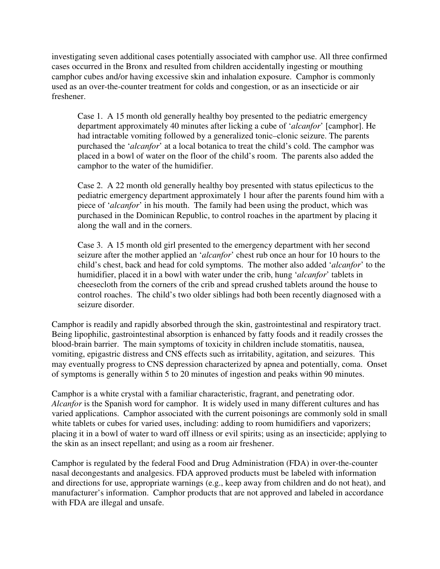investigating seven additional cases potentially associated with camphor use. All three confirmed cases occurred in the Bronx and resulted from children accidentally ingesting or mouthing camphor cubes and/or having excessive skin and inhalation exposure. Camphor is commonly used as an over-the-counter treatment for colds and congestion, or as an insecticide or air freshener.

Case 1. A 15 month old generally healthy boy presented to the pediatric emergency department approximately 40 minutes after licking a cube of '*alcanfor*' [camphor]. He had intractable vomiting followed by a generalized tonic–clonic seizure. The parents purchased the '*alcanfor*' at a local botanica to treat the child's cold. The camphor was placed in a bowl of water on the floor of the child's room. The parents also added the camphor to the water of the humidifier.

Case 2. A 22 month old generally healthy boy presented with status epilecticus to the pediatric emergency department approximately 1 hour after the parents found him with a piece of '*alcanfor*' in his mouth. The family had been using the product, which was purchased in the Dominican Republic, to control roaches in the apartment by placing it along the wall and in the corners.

Case 3. A 15 month old girl presented to the emergency department with her second seizure after the mother applied an '*alcanfor*' chest rub once an hour for 10 hours to the child's chest, back and head for cold symptoms. The mother also added '*alcanfor*' to the humidifier, placed it in a bowl with water under the crib, hung '*alcanfor*' tablets in cheesecloth from the corners of the crib and spread crushed tablets around the house to control roaches. The child's two older siblings had both been recently diagnosed with a seizure disorder.

Camphor is readily and rapidly absorbed through the skin, gastrointestinal and respiratory tract. Being lipophilic, gastrointestinal absorption is enhanced by fatty foods and it readily crosses the blood-brain barrier. The main symptoms of toxicity in children include stomatitis, nausea, vomiting, epigastric distress and CNS effects such as irritability, agitation, and seizures. This may eventually progress to CNS depression characterized by apnea and potentially, coma. Onset of symptoms is generally within 5 to 20 minutes of ingestion and peaks within 90 minutes.

Camphor is a white crystal with a familiar characteristic, fragrant, and penetrating odor. *Alcanfor* is the Spanish word for camphor. It is widely used in many different cultures and has varied applications. Camphor associated with the current poisonings are commonly sold in small white tablets or cubes for varied uses, including: adding to room humidifiers and vaporizers; placing it in a bowl of water to ward off illness or evil spirits; using as an insecticide; applying to the skin as an insect repellant; and using as a room air freshener.

Camphor is regulated by the federal Food and Drug Administration (FDA) in over-the-counter nasal decongestants and analgesics. FDA approved products must be labeled with information and directions for use, appropriate warnings (e.g., keep away from children and do not heat), and manufacturer's information. Camphor products that are not approved and labeled in accordance with FDA are illegal and unsafe.